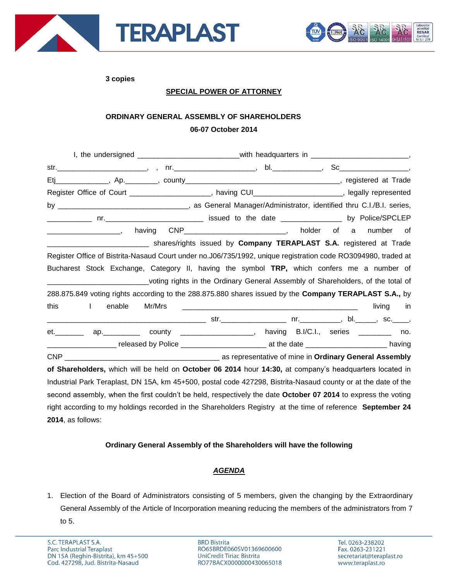



**3 copies**

### **SPECIAL POWER OF ATTORNEY**

# **ORDINARY GENERAL ASSEMBLY OF SHAREHOLDERS 06-07 October 2014**

|                                                                                                                | I, the undersigned ____________________________with headquarters in ________________________________, |       |
|----------------------------------------------------------------------------------------------------------------|-------------------------------------------------------------------------------------------------------|-------|
|                                                                                                                |                                                                                                       |       |
|                                                                                                                |                                                                                                       |       |
| Register Office of Court _____________________, having CUI_____________________, legally represented           |                                                                                                       |       |
|                                                                                                                |                                                                                                       |       |
|                                                                                                                |                                                                                                       |       |
|                                                                                                                | having CNP________________________________, holder of a number                                        | of    |
|                                                                                                                |                                                                                                       |       |
| Register Office of Bistrita-Nasaud Court under no.J06/735/1992, unique registration code RO3094980, traded at  |                                                                                                       |       |
| Bucharest Stock Exchange, Category II, having the symbol TRP, which confers me a number of                     |                                                                                                       |       |
|                                                                                                                | voting rights in the Ordinary General Assembly of Shareholders, of the total of                       |       |
| 288.875.849 voting rights according to the 288.875.880 shares issued by the Company TERAPLAST S.A., by         |                                                                                                       |       |
| enable<br>Mr/Mrs<br>this<br>$\mathbf{L}$                                                                       |                                                                                                       | in in |
|                                                                                                                |                                                                                                       |       |
| et. In the set of the set of the set of the set of the set of the set of the set of the set of the set of the  | ap. ___________ county _____________________, having B.I/C.I., series __________ no.                  |       |
|                                                                                                                |                                                                                                       |       |
|                                                                                                                |                                                                                                       |       |
| of Shareholders, which will be held on October 06 2014 hour 14:30, at company's headquarters located in        |                                                                                                       |       |
| Industrial Park Teraplast, DN 15A, km 45+500, postal code 427298, Bistrita-Nasaud county or at the date of the |                                                                                                       |       |
| second assembly, when the first couldn't be held, respectively the date October 07 2014 to express the voting  |                                                                                                       |       |
| right according to my holdings recorded in the Shareholders Registry at the time of reference September 24     |                                                                                                       |       |

**2014**, as follows:

## **Ordinary General Assembly of the Shareholders will have the following**

## *AGENDA*

1. Election of the Board of Administrators consisting of 5 members, given the changing by the Extraordinary General Assembly of the Article of Incorporation meaning reducing the members of the administrators from 7 to 5.

**BRD Bistrita** RO65BRDE060SV01369600600 UniCredit Tiriac Bistrita RO77BACX0000000430065018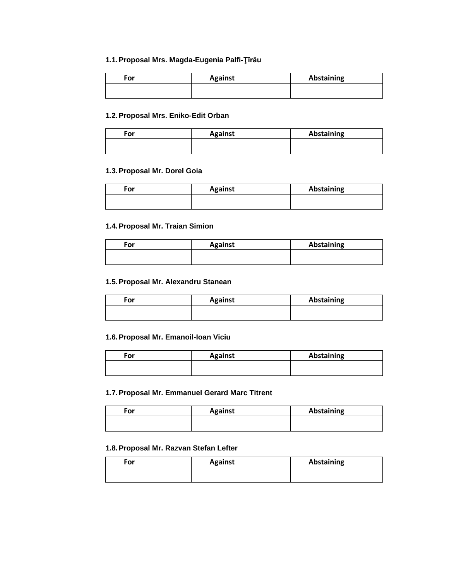#### **1.1.Proposal Mrs. Magda-Eugenia Palfi-Ţîrău**

| For | <b>Against</b> | <b>Abstaining</b> |
|-----|----------------|-------------------|
|     |                |                   |

#### **1.2.Proposal Mrs. Eniko-Edit Orban**

| For | <b>Against</b> | <b>Abstaining</b> |
|-----|----------------|-------------------|
|     |                |                   |

### **1.3.Proposal Mr. Dorel Goia**

| For | <b>Against</b> | Abstaining |
|-----|----------------|------------|
|     |                |            |

#### **1.4.Proposal Mr. Traian Simion**

| For | <b>Against</b> | <b>Abstaining</b> |
|-----|----------------|-------------------|
|     |                |                   |

### **1.5.Proposal Mr. Alexandru Stanean**

| For | <b>Against</b> | Abstaining |
|-----|----------------|------------|
|     |                |            |

#### **1.6.Proposal Mr. Emanoil-Ioan Viciu**

| For | <b>Against</b> | Abstaining |
|-----|----------------|------------|
|     |                |            |

#### **1.7.Proposal Mr. Emmanuel Gerard Marc Titrent**

| For | <b>Against</b> | <b>Abstaining</b> |
|-----|----------------|-------------------|
|     |                |                   |

#### **1.8.Proposal Mr. Razvan Stefan Lefter**

| For | <b>Against</b> | <b>Abstaining</b> |
|-----|----------------|-------------------|
|     |                |                   |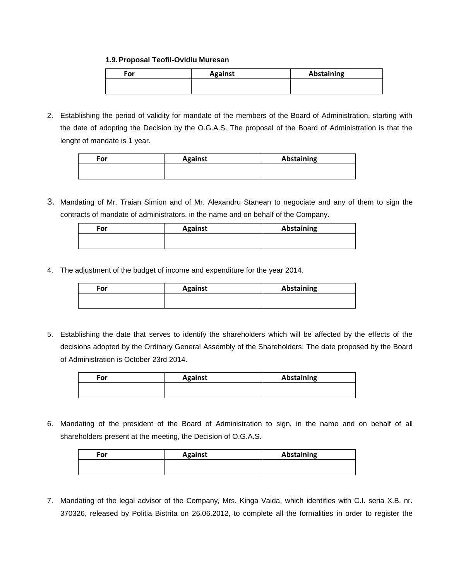#### **1.9.Proposal Teofil-Ovidiu Muresan**

| For | <b>Against</b> | Abstaining |
|-----|----------------|------------|
|     |                |            |

2. Establishing the period of validity for mandate of the members of the Board of Administration, starting with the date of adopting the Decision by the O.G.A.S. The proposal of the Board of Administration is that the lenght of mandate is 1 year.

| For | <b>Against</b> | <b>Abstaining</b> |
|-----|----------------|-------------------|
|     |                |                   |

3. Mandating of Mr. Traian Simion and of Mr. Alexandru Stanean to negociate and any of them to sign the contracts of mandate of administrators, in the name and on behalf of the Company.

| For | <b>Against</b> | Abstaining |
|-----|----------------|------------|
|     |                |            |

4. The adjustment of the budget of income and expenditure for the year 2014.

| <b>For</b> | <b>Against</b> | <b>Abstaining</b> |
|------------|----------------|-------------------|
|            |                |                   |

5. Establishing the date that serves to identify the shareholders which will be affected by the effects of the decisions adopted by the Ordinary General Assembly of the Shareholders. The date proposed by the Board of Administration is October 23rd 2014.

| For | <b>Against</b> | <b>Abstaining</b> |
|-----|----------------|-------------------|
|     |                |                   |

6. Mandating of the president of the Board of Administration to sign, in the name and on behalf of all shareholders present at the meeting, the Decision of O.G.A.S.

| For | <b>Against</b> | <b>Abstaining</b> |
|-----|----------------|-------------------|
|     |                |                   |
|     |                |                   |

7. Mandating of the legal advisor of the Company, Mrs. Kinga Vaida, which identifies with C.I. seria X.B. nr. 370326, released by Politia Bistrita on 26.06.2012, to complete all the formalities in order to register the